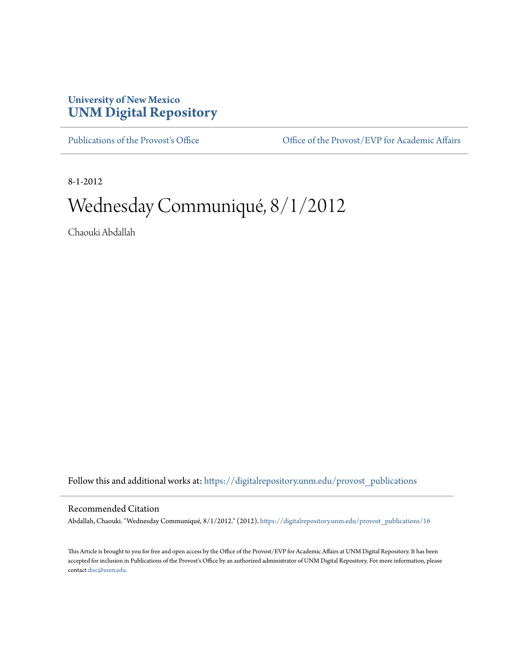## **University of New Mexico [UNM Digital Repository](https://digitalrepository.unm.edu?utm_source=digitalrepository.unm.edu%2Fprovost_publications%2F16&utm_medium=PDF&utm_campaign=PDFCoverPages)**

[Publications of the Provost's Office](https://digitalrepository.unm.edu/provost_publications?utm_source=digitalrepository.unm.edu%2Fprovost_publications%2F16&utm_medium=PDF&utm_campaign=PDFCoverPages) Office [Office of the Provost/EVP for Academic Affairs](https://digitalrepository.unm.edu/ofc_provost?utm_source=digitalrepository.unm.edu%2Fprovost_publications%2F16&utm_medium=PDF&utm_campaign=PDFCoverPages)

8-1-2012

# Wednesday Communiqué, 8/1/2012

Chaouki Abdallah

Follow this and additional works at: [https://digitalrepository.unm.edu/provost\\_publications](https://digitalrepository.unm.edu/provost_publications?utm_source=digitalrepository.unm.edu%2Fprovost_publications%2F16&utm_medium=PDF&utm_campaign=PDFCoverPages)

#### Recommended Citation

Abdallah, Chaouki. "Wednesday Communiqué, 8/1/2012." (2012). [https://digitalrepository.unm.edu/provost\\_publications/16](https://digitalrepository.unm.edu/provost_publications/16?utm_source=digitalrepository.unm.edu%2Fprovost_publications%2F16&utm_medium=PDF&utm_campaign=PDFCoverPages)

This Article is brought to you for free and open access by the Office of the Provost/EVP for Academic Affairs at UNM Digital Repository. It has been accepted for inclusion in Publications of the Provost's Office by an authorized administrator of UNM Digital Repository. For more information, please contact [disc@unm.edu.](mailto:disc@unm.edu)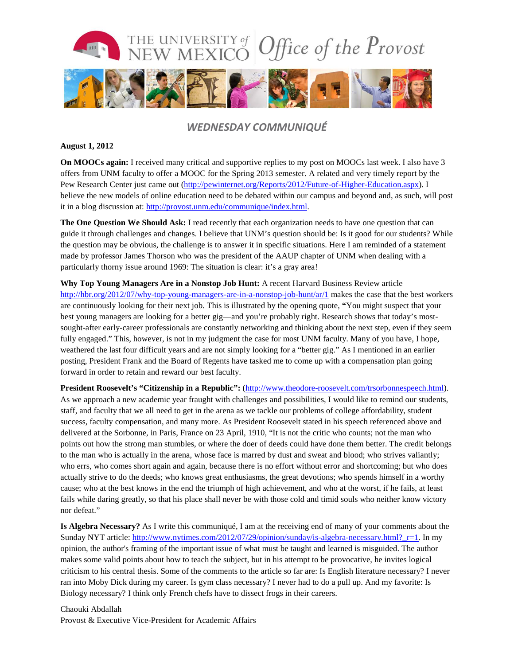

### *WEDNESDAY COMMUNIQUÉ*

#### **August 1, 2012**

**On MOOCs again:** I received many critical and supportive replies to my post on MOOCs last week. I also have 3 offers from UNM faculty to offer a MOOC for the Spring 2013 semester. A related and very timely report by the Pew Research Center just came out [\(http://pewinternet.org/Reports/2012/Future-of-Higher-Education.aspx\)](http://pewinternet.org/Reports/2012/Future-of-Higher-Education.aspx). I believe the new models of online education need to be debated within our campus and beyond and, as such, will post it in a blog discussion at: [http://provost.unm.edu/communique/index.html.](http://provost.unm.edu/communique/index.html)

**The One Question We Should Ask:** I read recently that each organization needs to have one question that can guide it through challenges and changes. I believe that UNM's question should be: Is it good for our students? While the question may be obvious, the challenge is to answer it in specific situations. Here I am reminded of a statement made by professor James Thorson who was the president of the AAUP chapter of UNM when dealing with a particularly thorny issue around 1969: The situation is clear: it's a gray area!

**Why Top Young Managers Are in a Nonstop Job Hunt:** A recent Harvard Business Review article <http://hbr.org/2012/07/why-top-young-managers-are-in-a-nonstop-job-hunt/ar/1> makes the case that the best workers are continuously looking for their next job. This is illustrated by the opening quote, **"**You might suspect that your best young managers are looking for a better gig—and you're probably right. Research shows that today's mostsought-after early-career professionals are constantly networking and thinking about the next step, even if they seem fully engaged." This, however, is not in my judgment the case for most UNM faculty. Many of you have, I hope, weathered the last four difficult years and are not simply looking for a "better gig." As I mentioned in an earlier posting, President Frank and the Board of Regents have tasked me to come up with a compensation plan going forward in order to retain and reward our best faculty.

**President Roosevelt's "Citizenship in a Republic":** [\(http://www.theodore-roosevelt.com/trsorbonnespeech.html\)](http://www.theodore-roosevelt.com/trsorbonnespeech.html). As we approach a new academic year fraught with challenges and possibilities, I would like to remind our students, staff, and faculty that we all need to get in the arena as we tackle our problems of college affordability, student success, faculty compensation, and many more. As President Roosevelt stated in his speech referenced above and delivered at the Sorbonne, in Paris, France on 23 April, 1910, "It is not the critic who counts; not the man who points out how the strong man stumbles, or where the doer of deeds could have done them better. The credit belongs to the man who is actually in the arena, whose face is marred by dust and sweat and blood; who strives valiantly; who errs, who comes short again and again, because there is no effort without error and shortcoming; but who does actually strive to do the deeds; who knows great enthusiasms, the great devotions; who spends himself in a worthy cause; who at the best knows in the end the triumph of high achievement, and who at the worst, if he fails, at least fails while daring greatly, so that his place shall never be with those cold and timid souls who neither know victory nor defeat."

**Is Algebra Necessary?** As I write this communiqué, I am at the receiving end of many of your comments about the Sunday NYT article: http://www.nytimes.com/2012/07/29/opinion/sunday/is-algebra-necessary.html? r=1. In my opinion, the author's framing of the important issue of what must be taught and learned is misguided. The author makes some valid points about how to teach the subject, but in his attempt to be provocative, he invites logical criticism to his central thesis. Some of the comments to the article so far are: Is English literature necessary? I never ran into Moby Dick during my career. Is gym class necessary? I never had to do a pull up. And my favorite: Is Biology necessary? I think only French chefs have to dissect frogs in their careers.

Chaouki Abdallah Provost & Executive Vice-President for Academic Affairs